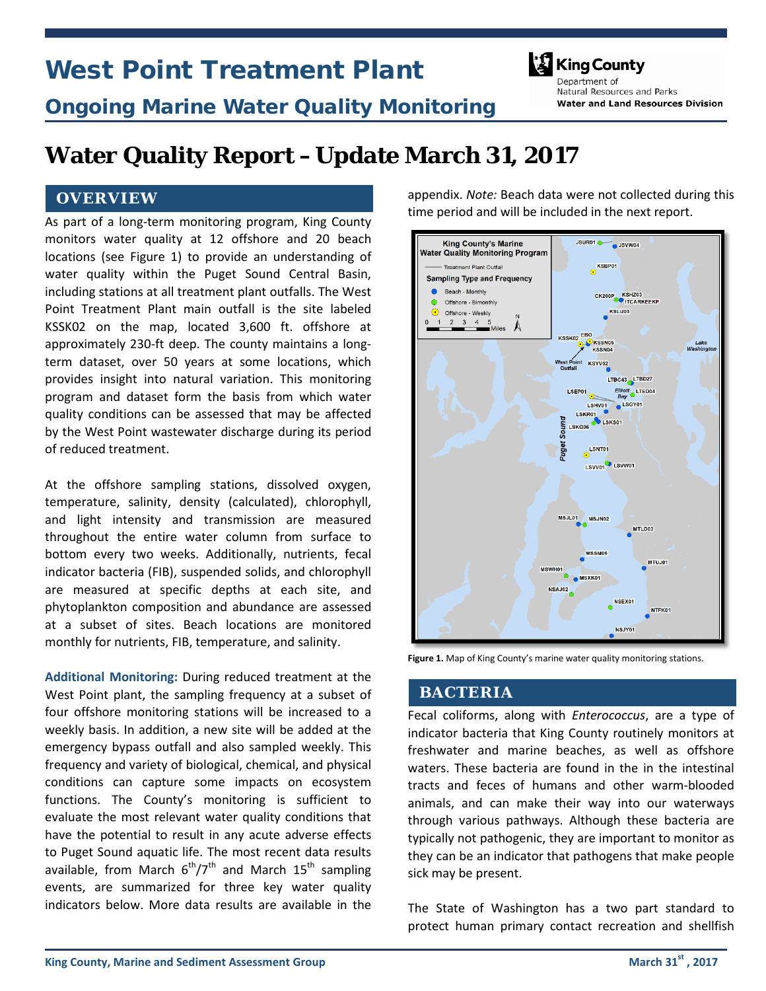# West Point Treatment Plant



# Ongoing Marine Water Quality Monitoring

Denartment of Natural Resources and Parks **Water and Land Resources Division** 

# **Water Quality Report –Update March 31, 2017**

### **OVERVIEW**

As part of a long-term monitoring program, King County monitors water quality at 12 offshore and 20 beach locations (see Figure 1) to provide an understanding of water quality within the Puget Sound Central Basin, including stations at all treatment plant outfalls. The West Point Treatment Plant main outfall is the site labeled KSSK02 on the map, located 3,600 ft. offshore at approximately 230-ft deep. The county maintains a longterm dataset, over 50 years at some locations, which provides insight into natural variation. This monitoring program and dataset form the basis from which water quality conditions can be assessed that may be affected by the West Point wastewater discharge during its period of reduced treatment.

At the offshore sampling stations, dissolved oxygen, temperature, salinity, density (calculated), chlorophyll, and light intensity and transmission are measured throughout the entire water column from surface to bottom every two weeks. Additionally, nutrients, fecal indicator bacteria (FIB), suspended solids, and chlorophyll are measured at specific depths at each site, and phytoplankton composition and abundance are assessed at a subset of sites. Beach locations are monitored monthly for nutrients, FIB, temperature, and salinity.

**Additional Monitoring:** During reduced treatment at the West Point plant, the sampling frequency at a subset of four offshore monitoring stations will be increased to a weekly basis. In addition, a new site will be added at the emergency bypass outfall and also sampled weekly. This frequency and variety of biological, chemical, and physical conditions can capture some impacts on ecosystem functions. The County's monitoring is sufficient to evaluate the most relevant water quality conditions that have the potential to result in any acute adverse effects to Puget Sound aquatic life. The most recent data results available, from March  $6<sup>th</sup>/7<sup>th</sup>$  and March 15<sup>th</sup> sampling events, are summarized for three key water quality indicators below. More data results are available in the

appendix. *Note:* Beach data were not collected during this time period and will be included in the next report.



**Figure 1.** Map of King County's marine water quality monitoring stations.

#### **BACTERIA**

Fecal coliforms, along with *Enterococcus*, are a type of indicator bacteria that King County routinely monitors at freshwater and marine beaches, as well as offshore waters. These bacteria are found in the in the intestinal tracts and feces of humans and other warm-blooded animals, and can make their way into our waterways through various pathways. Although these bacteria are typically not pathogenic, they are important to monitor as they can be an indicator that pathogens that make people sick may be present.

The State of Washington has a two part standard to protect human primary contact recreation and shellfish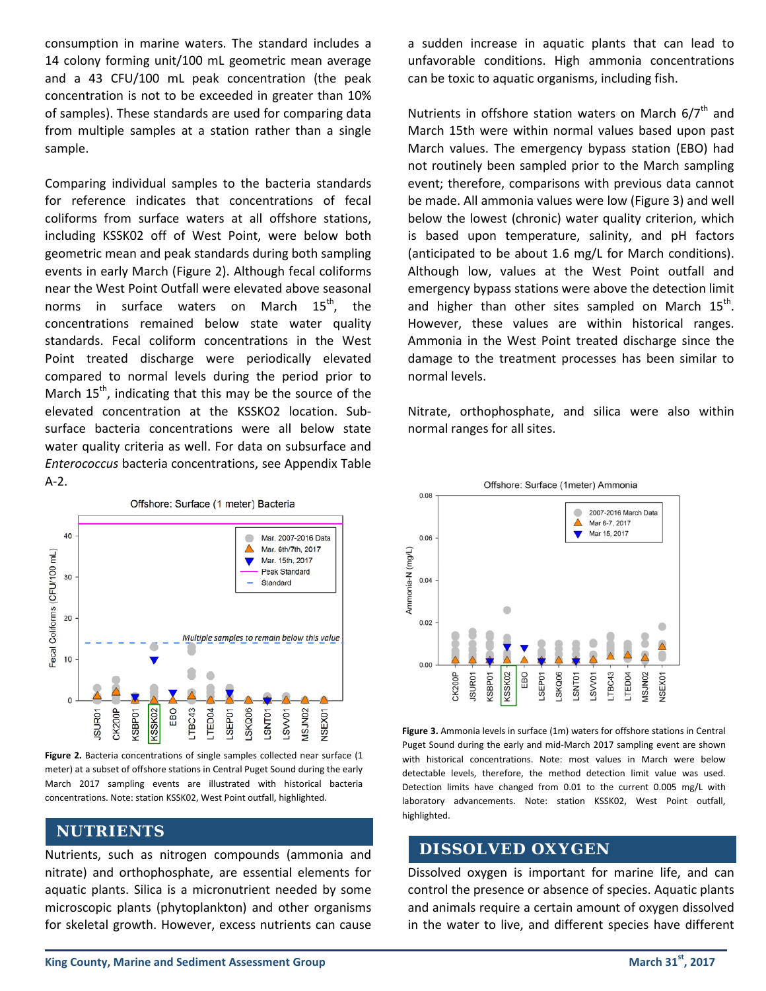consumption in marine waters. The standard includes a 14 colony forming unit/100 mL geometric mean average and a 43 CFU/100 mL peak concentration (the peak concentration is not to be exceeded in greater than 10% of samples). These standards are used for comparing data from multiple samples at a station rather than a single sample.

Comparing individual samples to the bacteria standards for reference indicates that concentrations of fecal coliforms from surface waters at all offshore stations, including KSSK02 off of West Point, were below both geometric mean and peak standards during both sampling events in early March (Figure 2). Although fecal coliforms near the West Point Outfall were elevated above seasonal norms in surface waters on March  $15^{th}$ , the concentrations remained below state water quality standards. Fecal coliform concentrations in the West Point treated discharge were periodically elevated compared to normal levels during the period prior to March  $15<sup>th</sup>$ , indicating that this may be the source of the elevated concentration at the KSSKO2 location. Subsurface bacteria concentrations were all below state water quality criteria as well. For data on subsurface and *Enterococcus* bacteria concentrations, see Appendix Table A-2.



Figure 2. Bacteria concentrations of single samples collected near surface (1 meter) at a subset of offshore stations in Central Puget Sound during the early March 2017 sampling events are illustrated with historical bacteria concentrations. Note: station KSSK02, West Point outfall, highlighted.

### **NUTRIENTS**

Nutrients, such as nitrogen compounds (ammonia and nitrate) and orthophosphate, are essential elements for aquatic plants. Silica is a micronutrient needed by some microscopic plants (phytoplankton) and other organisms for skeletal growth. However, excess nutrients can cause a sudden increase in aquatic plants that can lead to unfavorable conditions. High ammonia concentrations can be toxic to aquatic organisms, including fish.

Nutrients in offshore station waters on March  $6/7<sup>th</sup>$  and March 15th were within normal values based upon past March values. The emergency bypass station (EBO) had not routinely been sampled prior to the March sampling event; therefore, comparisons with previous data cannot be made. All ammonia values were low (Figure 3) and well below the lowest (chronic) water quality criterion, which is based upon temperature, salinity, and pH factors (anticipated to be about 1.6 mg/L for March conditions). Although low, values at the West Point outfall and emergency bypass stations were above the detection limit and higher than other sites sampled on March  $15<sup>th</sup>$ . However, these values are within historical ranges. Ammonia in the West Point treated discharge since the damage to the treatment processes has been similar to normal levels.

Nitrate, orthophosphate, and silica were also within normal ranges for all sites.



**Figure 3.** Ammonia levels in surface (1m) waters for offshore stations in Central Puget Sound during the early and mid-March 2017 sampling event are shown with historical concentrations. Note: most values in March were below detectable levels, therefore, the method detection limit value was used. Detection limits have changed from 0.01 to the current 0.005 mg/L with laboratory advancements. Note: station KSSK02, West Point outfall, highlighted.

### **DISSOLVED OXYGEN**

Dissolved oxygen is important for marine life, and can control the presence or absence of species. Aquatic plants and animals require a certain amount of oxygen dissolved in the water to live, and different species have different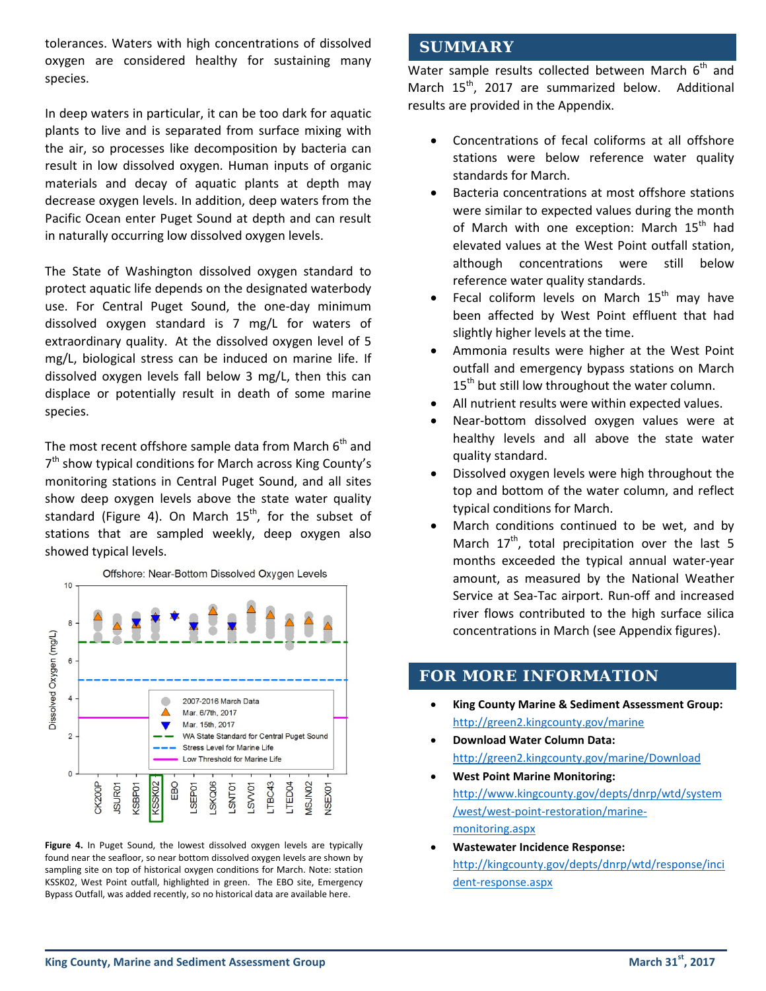tolerances. Waters with high concentrations of dissolved oxygen are considered healthy for sustaining many species.

In deep waters in particular, it can be too dark for aquatic plants to live and is separated from surface mixing with the air, so processes like decomposition by bacteria can result in low dissolved oxygen. Human inputs of organic materials and decay of aquatic plants at depth may decrease oxygen levels. In addition, deep waters from the Pacific Ocean enter Puget Sound at depth and can result in naturally occurring low dissolved oxygen levels.

The State of Washington dissolved oxygen standard to protect aquatic life depends on the designated waterbody use. For Central Puget Sound, the one-day minimum dissolved oxygen standard is 7 mg/L for waters of extraordinary quality. At the dissolved oxygen level of 5 mg/L, biological stress can be induced on marine life. If dissolved oxygen levels fall below 3 mg/L, then this can displace or potentially result in death of some marine species.

The most recent offshore sample data from March  $6<sup>th</sup>$  and  $7<sup>th</sup>$  show typical conditions for March across King County's monitoring stations in Central Puget Sound, and all sites show deep oxygen levels above the state water quality standard (Figure 4). On March  $15<sup>th</sup>$ , for the subset of stations that are sampled weekly, deep oxygen also showed typical levels.



Figure 4. In Puget Sound, the lowest dissolved oxygen levels are typically found near the seafloor, so near bottom dissolved oxygen levels are shown by sampling site on top of historical oxygen conditions for March. Note: station KSSK02, West Point outfall, highlighted in green. The EBO site, Emergency Bypass Outfall, was added recently, so no historical data are available here.

### **SUMMARY**

Water sample results collected between March  $6<sup>th</sup>$  and March  $15^{th}$ , 2017 are summarized below. Additional results are provided in the Appendix.

- Concentrations of fecal coliforms at all offshore stations were below reference water quality standards for March.
- Bacteria concentrations at most offshore stations were similar to expected values during the month of March with one exception: March 15<sup>th</sup> had elevated values at the West Point outfall station, although concentrations were still below reference water quality standards.
- Fecal coliform levels on March  $15<sup>th</sup>$  may have been affected by West Point effluent that had slightly higher levels at the time.
- Ammonia results were higher at the West Point outfall and emergency bypass stations on March 15<sup>th</sup> but still low throughout the water column.
- All nutrient results were within expected values.
- Near-bottom dissolved oxygen values were at healthy levels and all above the state water quality standard.
- Dissolved oxygen levels were high throughout the top and bottom of the water column, and reflect typical conditions for March.
- March conditions continued to be wet, and by March  $17<sup>th</sup>$ , total precipitation over the last 5 months exceeded the typical annual water-year amount, as measured by the National Weather Service at Sea-Tac airport. Run-off and increased river flows contributed to the high surface silica concentrations in March (see Appendix figures).

### **FOR MORE INFORMATION**

- **King County Marine & Sediment Assessment Group:** <http://green2.kingcounty.gov/marine>
- **Download Water Column Data:**  <http://green2.kingcounty.gov/marine/Download>
- **West Point Marine Monitoring:** [http://www.kingcounty.gov/depts/dnrp/wtd/system](http://edit.kingcounty.gov/depts/dnrp/wtd/system/west/west-point-restoration/marine-monitoring.aspx) [/west/west-point-restoration/marine](http://edit.kingcounty.gov/depts/dnrp/wtd/system/west/west-point-restoration/marine-monitoring.aspx)monitoring.aspx
- **[Wastewater Incidence Response:](http://kingcounty.gov/depts/dnrp/wtd/response/incident-response.aspx)** [http://kingcounty.go](http://kingcounty.gov/depts/dnrp/wtd/response/incident-response.aspx)v/depts/dnrp/wtd/response/inci dent-response.aspx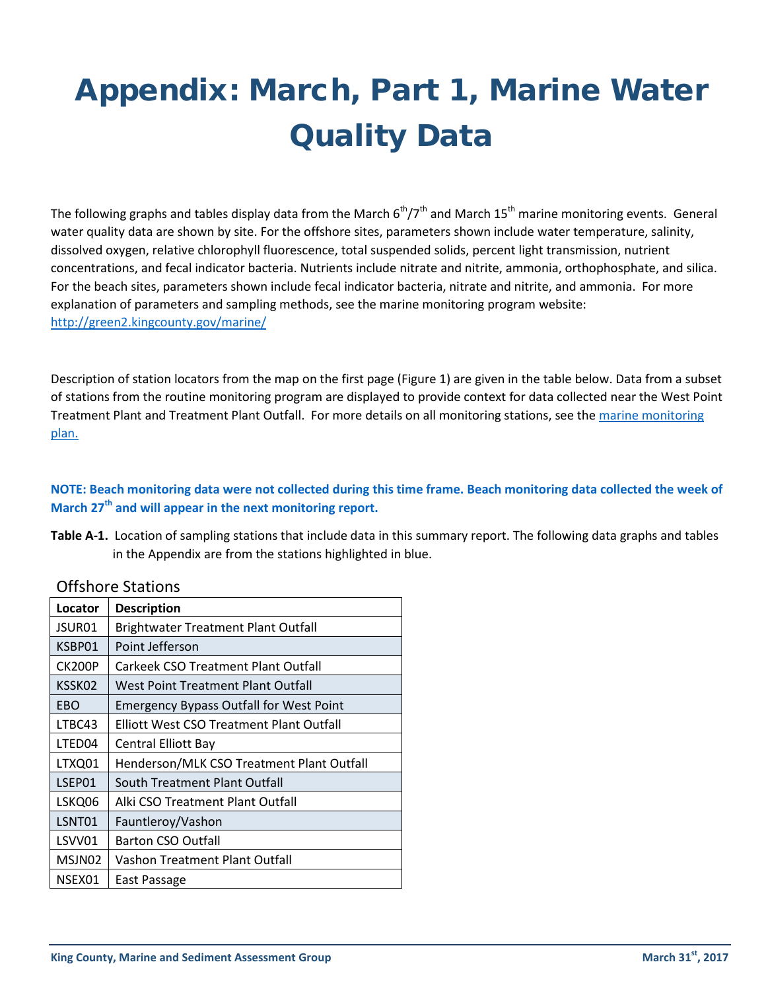# Appendix: March, Part 1, Marine Water Quality Data

The following graphs and tables display data from the March  $6^{th}/7^{th}$  and March 15<sup>th</sup> marine monitoring events. General water quality data are shown by site. For the offshore sites, parameters shown include water temperature, salinity, dissolved oxygen, relative chlorophyll fluorescence, total suspended solids, percent light transmission, nutrient concentrations, and fecal indicator bacteria. Nutrients include nitrate and nitrite, ammonia, orthophosphate, and silica. For the beach sites, parameters shown include fecal indicator bacteria, nitrate and nitrite, and ammonia. For more explanation of parameters and sampling methods, see the marine monitoring program website: <http://green2.kingcounty.gov/marine/>

Description of station locators from the map on the first page (Figure 1) are given in the table below. Data from a subset of stations from the routine monitoring program are displayed to provide context for data collected near the West Point Treatment Plant and Treatment Plant Outfall. For more details on all monitoring stations, see the [marine monitoring](http://edit.kingcounty.gov/%7E/media/depts/dnrp/wtd/system/WP/restoration-monitoring/2017-03-10-KingCo-marine-monitoring_plan.ashx?la=en)  [plan.](http://edit.kingcounty.gov/%7E/media/depts/dnrp/wtd/system/WP/restoration-monitoring/2017-03-10-KingCo-marine-monitoring_plan.ashx?la=en)

### **NOTE: Beach monitoring data were not collected during this time frame. Beach monitoring data collected the week of March 27th and will appear in the next monitoring report.**

| Table A-1. Location of sampling stations that include data in this summary report. The following data graphs and tables |
|-------------------------------------------------------------------------------------------------------------------------|
| in the Appendix are from the stations highlighted in blue.                                                              |

| Locator       | <b>Description</b>                             |  |  |  |  |  |
|---------------|------------------------------------------------|--|--|--|--|--|
| JSUR01        | <b>Brightwater Treatment Plant Outfall</b>     |  |  |  |  |  |
| KSBP01        | Point Jefferson                                |  |  |  |  |  |
| <b>CK200P</b> | Carkeek CSO Treatment Plant Outfall            |  |  |  |  |  |
| KSSK02        | <b>West Point Treatment Plant Outfall</b>      |  |  |  |  |  |
| EBO           | <b>Emergency Bypass Outfall for West Point</b> |  |  |  |  |  |
| LTBC43        | Elliott West CSO Treatment Plant Outfall       |  |  |  |  |  |
| LTED04        | <b>Central Elliott Bay</b>                     |  |  |  |  |  |
| LTXQ01        | Henderson/MLK CSO Treatment Plant Outfall      |  |  |  |  |  |
| LSEP01        | South Treatment Plant Outfall                  |  |  |  |  |  |
| LSKQ06        | Alki CSO Treatment Plant Outfall               |  |  |  |  |  |
| LSNT01        | Fauntleroy/Vashon                              |  |  |  |  |  |
| LSVV01        | <b>Barton CSO Outfall</b>                      |  |  |  |  |  |
| MSJN02        | Vashon Treatment Plant Outfall                 |  |  |  |  |  |
| NSEX01        | East Passage                                   |  |  |  |  |  |

### Offshore Stations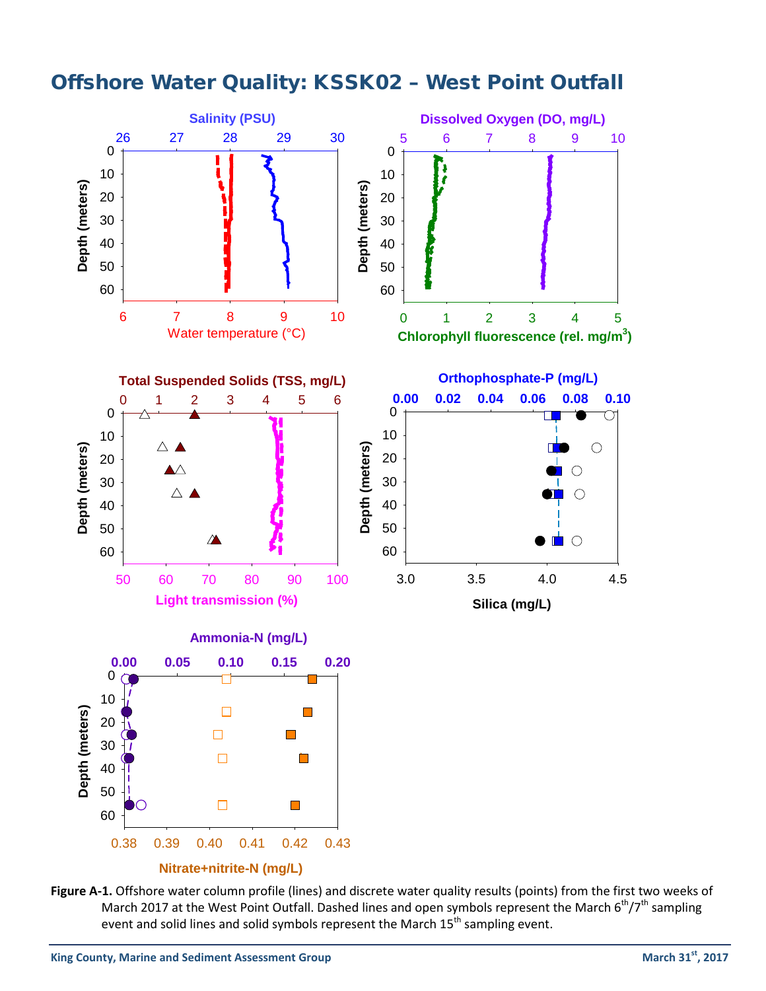

## Offshore Water Quality: KSSK02 – West Point Outfall

**Figure A-1.** Offshore water column profile (lines) and discrete water quality results (points) from the first two weeks of March 2017 at the West Point Outfall. Dashed lines and open symbols represent the March 6<sup>th</sup>/7<sup>th</sup> sampling event and solid lines and solid symbols represent the March  $15<sup>th</sup>$  sampling event.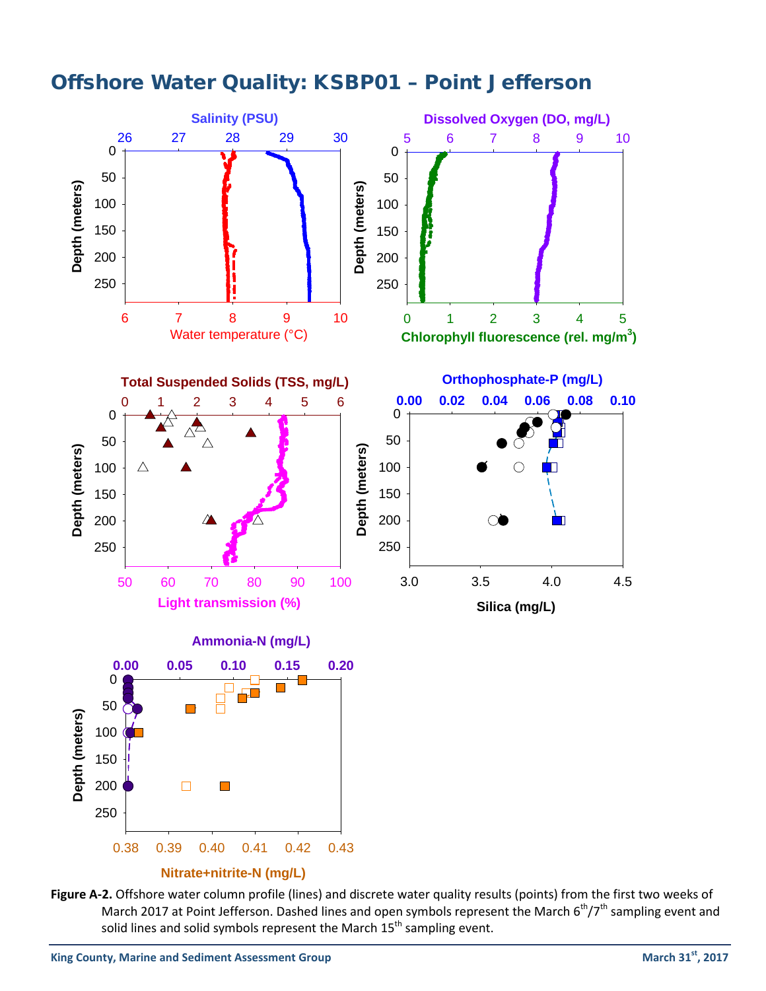

## Offshore Water Quality: KSBP01 – Point Jefferson

**Figure A-2.** Offshore water column profile (lines) and discrete water quality results (points) from the first two weeks of March 2017 at Point Jefferson. Dashed lines and open symbols represent the March  $6<sup>th</sup>/7<sup>th</sup>$  sampling event and solid lines and solid symbols represent the March  $15<sup>th</sup>$  sampling event.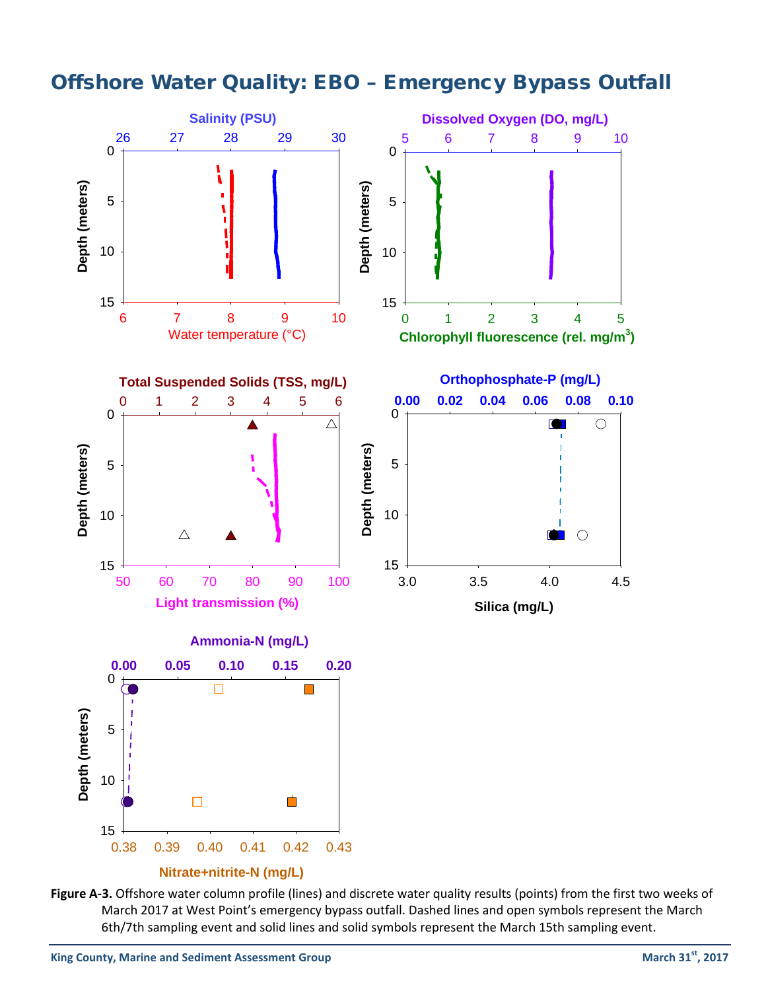## Offshore Water Quality: EBO – Emergency Bypass Outfall



**Figure A-3.** Offshore water column profile (lines) and discrete water quality results (points) from the first two weeks of March 2017 at West Point's emergency bypass outfall. Dashed lines and open symbols represent the March 6th/7th sampling event and solid lines and solid symbols represent the March 15th sampling event.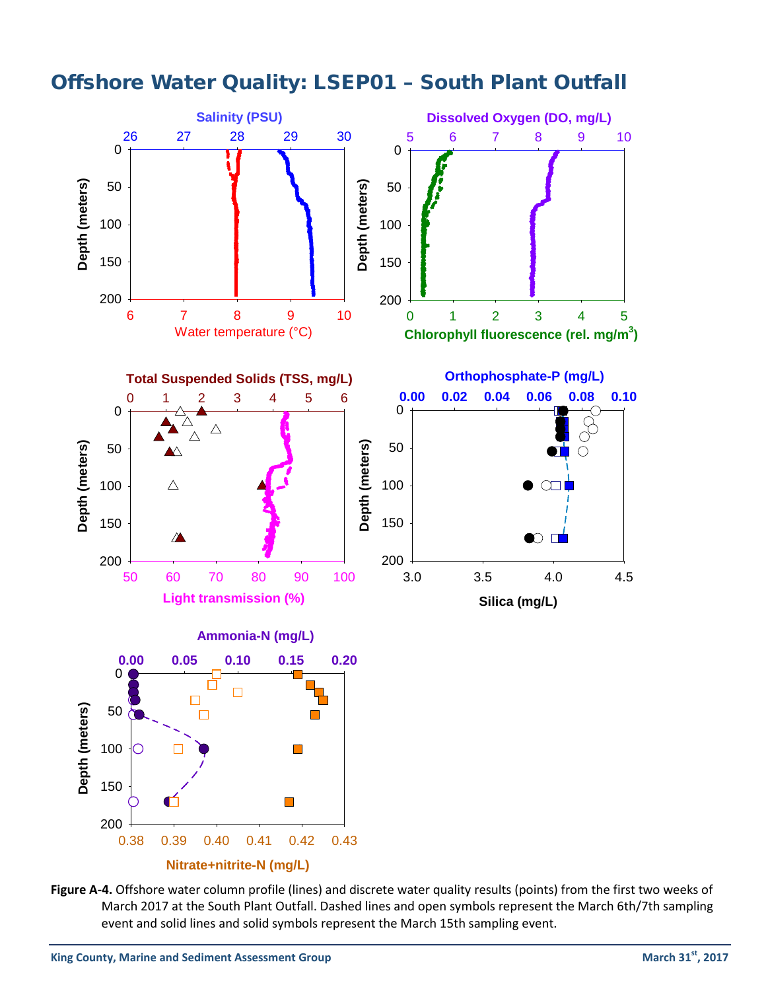

Offshore Water Quality: LSEP01 – South Plant Outfall

**Figure A-4.** Offshore water column profile (lines) and discrete water quality results (points) from the first two weeks of March 2017 at the South Plant Outfall. Dashed lines and open symbols represent the March 6th/7th sampling event and solid lines and solid symbols represent the March 15th sampling event.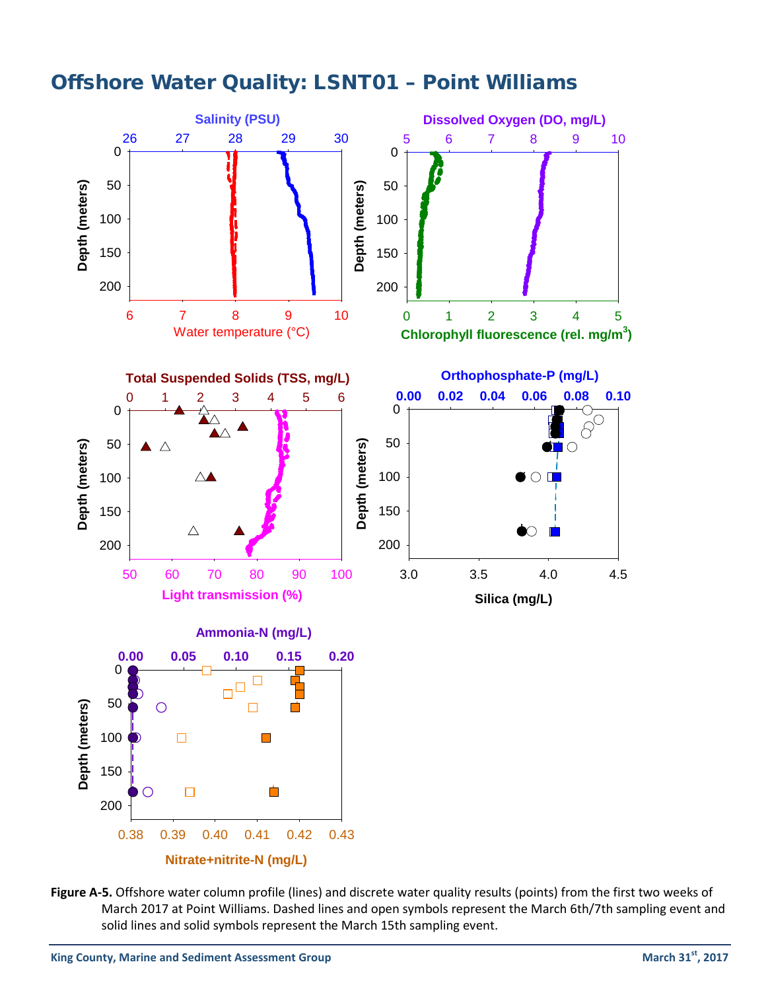

### Offshore Water Quality: LSNT01 – Point Williams

**Figure A-5.** Offshore water column profile (lines) and discrete water quality results (points) from the first two weeks of March 2017 at Point Williams. Dashed lines and open symbols represent the March 6th/7th sampling event and solid lines and solid symbols represent the March 15th sampling event.